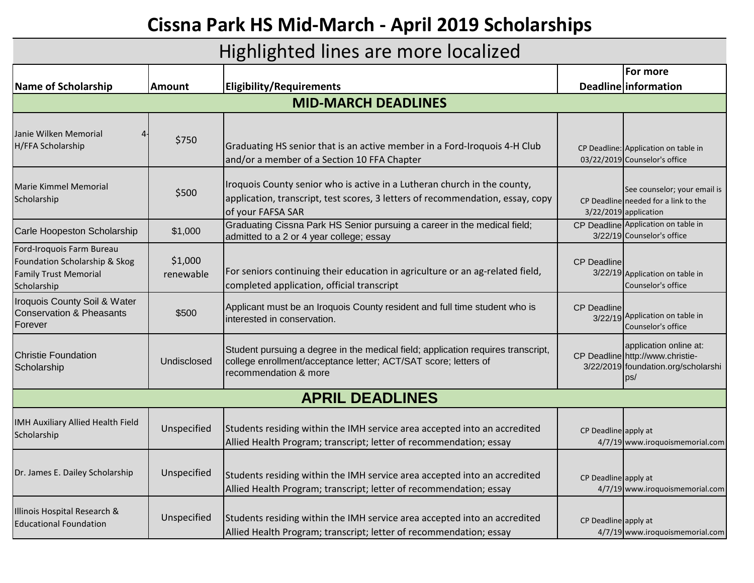## **Cissna Park HS Mid-March - April 2019 Scholarships**

## Highlighted lines are more localized

|                                                                                                           |                      |                                                                                                                                                                                 | For more                                                                                                 |  |  |  |
|-----------------------------------------------------------------------------------------------------------|----------------------|---------------------------------------------------------------------------------------------------------------------------------------------------------------------------------|----------------------------------------------------------------------------------------------------------|--|--|--|
| Name of Scholarship                                                                                       | <b>Amount</b>        | <b>Eligibility/Requirements</b>                                                                                                                                                 | Deadline information                                                                                     |  |  |  |
| <b>MID-MARCH DEADLINES</b>                                                                                |                      |                                                                                                                                                                                 |                                                                                                          |  |  |  |
| Janie Wilken Memorial<br>H/FFA Scholarship                                                                | \$750                | Graduating HS senior that is an active member in a Ford-Iroquois 4-H Club<br>and/or a member of a Section 10 FFA Chapter                                                        | CP Deadline: Application on table in<br>03/22/2019 Counselor's office                                    |  |  |  |
| Marie Kimmel Memorial<br>Scholarship                                                                      | \$500                | Iroquois County senior who is active in a Lutheran church in the county,<br>application, transcript, test scores, 3 letters of recommendation, essay, copy<br>of your FAFSA SAR | See counselor; your email is<br>CP Deadline needed for a link to the<br>3/22/2019 application            |  |  |  |
| Carle Hoopeston Scholarship                                                                               | \$1,000              | Graduating Cissna Park HS Senior pursuing a career in the medical field;<br>admitted to a 2 or 4 year college; essay                                                            | CP Deadline Application on table in<br>3/22/19 Counselor's office                                        |  |  |  |
| Ford-Iroquois Farm Bureau<br>Foundation Scholarship & Skog<br><b>Family Trust Memorial</b><br>Scholarship | \$1,000<br>renewable | For seniors continuing their education in agriculture or an ag-related field,<br>completed application, official transcript                                                     | <b>CP Deadline</b><br>3/22/19 Application on table in<br>Counselor's office                              |  |  |  |
| Iroquois County Soil & Water<br>Conservation & Pheasants<br>Forever                                       | \$500                | Applicant must be an Iroquois County resident and full time student who is<br>interested in conservation.                                                                       | CP Deadline<br>3/22/19 Application on table in<br>Counselor's office                                     |  |  |  |
| <b>Christie Foundation</b><br>Scholarship                                                                 | Undisclosed          | Student pursuing a degree in the medical field; application requires transcript,<br>college enrollment/acceptance letter; ACT/SAT score; letters of<br>recommendation & more    | application online at:<br>CP Deadline http://www.christie-<br>3/22/2019 foundation.org/scholarshi<br>DS/ |  |  |  |
| <b>APRIL DEADLINES</b>                                                                                    |                      |                                                                                                                                                                                 |                                                                                                          |  |  |  |
| IMH Auxiliary Allied Health Field<br>Scholarship                                                          | Unspecified          | Students residing within the IMH service area accepted into an accredited<br>Allied Health Program; transcript; letter of recommendation; essay                                 | CP Deadline apply at<br>4/7/19 www.iroquoismemorial.com                                                  |  |  |  |
| Dr. James E. Dailey Scholarship                                                                           | Unspecified          | Students residing within the IMH service area accepted into an accredited<br>Allied Health Program; transcript; letter of recommendation; essay                                 | CP Deadline apply at<br>4/7/19 www.iroquoismemorial.com                                                  |  |  |  |
| Illinois Hospital Research &<br><b>Educational Foundation</b>                                             | Unspecified          | Students residing within the IMH service area accepted into an accredited<br>Allied Health Program; transcript; letter of recommendation; essay                                 | CP Deadline apply at<br>4/7/19 www.iroquoismemorial.com                                                  |  |  |  |